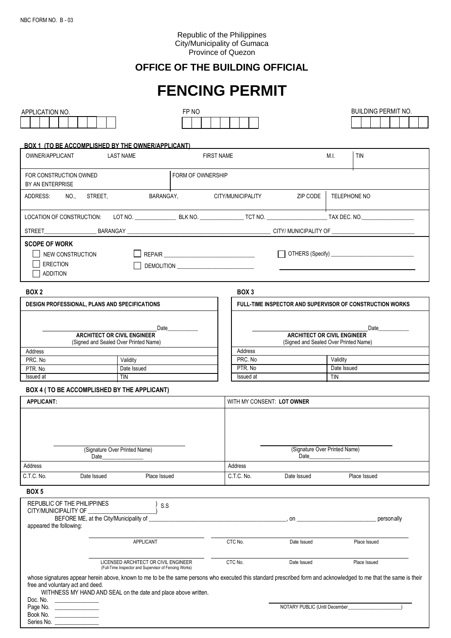Series No.

# Republic of the Philippines City/Municipality of Gumaca Province of Quezon

# **OFFICE OF THE BUILDING OFFICIAL**

# **FENCING PERMIT**

| APPLICATION NO.                                                                  |                                                                                                                         | FP NO             |                                                                                                                                |                                                                             | <b>BUILDING PERMIT NO.</b>                                                                                                                                        |  |  |
|----------------------------------------------------------------------------------|-------------------------------------------------------------------------------------------------------------------------|-------------------|--------------------------------------------------------------------------------------------------------------------------------|-----------------------------------------------------------------------------|-------------------------------------------------------------------------------------------------------------------------------------------------------------------|--|--|
|                                                                                  | BOX 1 (TO BE ACCOMPLISHED BY THE OWNER/APPLICANT)                                                                       |                   |                                                                                                                                |                                                                             |                                                                                                                                                                   |  |  |
| OWNER/APPLICANT<br><b>LAST NAME</b>                                              |                                                                                                                         |                   | <b>FIRST NAME</b>                                                                                                              |                                                                             | M.I.<br><b>TIN</b>                                                                                                                                                |  |  |
| FOR CONSTRUCTION OWNED<br>BY AN ENTERPRISE                                       |                                                                                                                         | FORM OF OWNERSHIP |                                                                                                                                |                                                                             |                                                                                                                                                                   |  |  |
| ADDRESS:                                                                         | NO., STREET,                                                                                                            |                   | BARANGAY, CITY/MUNICIPALITY                                                                                                    | ZIP CODE                                                                    | TELEPHONE NO                                                                                                                                                      |  |  |
|                                                                                  |                                                                                                                         |                   |                                                                                                                                |                                                                             |                                                                                                                                                                   |  |  |
|                                                                                  |                                                                                                                         |                   |                                                                                                                                |                                                                             |                                                                                                                                                                   |  |  |
| <b>SCOPE OF WORK</b><br>NEW CONSTRUCTION<br><b>I</b> ERECTION<br><b>ADDITION</b> |                                                                                                                         |                   |                                                                                                                                |                                                                             |                                                                                                                                                                   |  |  |
| BOX 2                                                                            |                                                                                                                         |                   | BOX 3                                                                                                                          |                                                                             |                                                                                                                                                                   |  |  |
|                                                                                  | <b>DESIGN PROFESSIONAL, PLANS AND SPECIFICATIONS</b>                                                                    |                   |                                                                                                                                |                                                                             | <b>FULL-TIME INSPECTOR AND SUPERVISOR OF CONSTRUCTION WORKS</b>                                                                                                   |  |  |
|                                                                                  |                                                                                                                         | Date              |                                                                                                                                |                                                                             | Date                                                                                                                                                              |  |  |
|                                                                                  | <b>ARCHITECT OR CIVIL ENGINEER</b><br>(Signed and Sealed Over Printed Name)                                             |                   |                                                                                                                                | <b>ARCHITECT OR CIVIL ENGINEER</b><br>(Signed and Sealed Over Printed Name) |                                                                                                                                                                   |  |  |
| Address                                                                          |                                                                                                                         |                   | Address                                                                                                                        |                                                                             |                                                                                                                                                                   |  |  |
| PRC. No                                                                          | Validity                                                                                                                |                   | PRC. No<br>PTR. No                                                                                                             | Validity                                                                    |                                                                                                                                                                   |  |  |
| PTR. No                                                                          |                                                                                                                         | Date Issued       |                                                                                                                                |                                                                             | Date Issued                                                                                                                                                       |  |  |
| Issued at                                                                        | <b>TIN</b>                                                                                                              |                   | Issued at                                                                                                                      |                                                                             | <b>TIN</b>                                                                                                                                                        |  |  |
|                                                                                  | BOX 4 ( TO BE ACCOMPLISHED BY THE APPLICANT)                                                                            |                   |                                                                                                                                |                                                                             |                                                                                                                                                                   |  |  |
| <b>APPLICANT:</b>                                                                | (Signature Over Printed Name)<br>Date                                                                                   |                   | WITH MY CONSENT: LOT OWNER                                                                                                     | (Signature Over Printed Name)<br>Date                                       |                                                                                                                                                                   |  |  |
| Address                                                                          |                                                                                                                         |                   | Address                                                                                                                        |                                                                             |                                                                                                                                                                   |  |  |
| C.T.C. No.                                                                       | Date Issued                                                                                                             | Place Issued      | C.T.C. No.                                                                                                                     | Date Issued                                                                 | Place Issued                                                                                                                                                      |  |  |
| BOX <sub>5</sub>                                                                 |                                                                                                                         |                   |                                                                                                                                |                                                                             |                                                                                                                                                                   |  |  |
| REPUBLIC OF THE PHILIPPINES<br>CITY/MUNICIPALITY OF                              | BEFORE ME, at the City/Municipality of                                                                                  | S.S               | $\sim$ 00 $\sim$ 00 $\sim$ 00 $\sim$ 00 $\sim$ 00 $\sim$ 00 $\sim$ 00 $\sim$ 00 $\sim$ 00 $\sim$ 00 $\sim$ 00 $\sim$ 00 $\sim$ |                                                                             | personally                                                                                                                                                        |  |  |
| appeared the following:                                                          |                                                                                                                         |                   |                                                                                                                                |                                                                             |                                                                                                                                                                   |  |  |
|                                                                                  | APPLICANT                                                                                                               |                   | CTC No.                                                                                                                        | Date Issued                                                                 | Place Issued                                                                                                                                                      |  |  |
|                                                                                  | LICENSED ARCHITECT OR CIVIL ENGINEER                                                                                    |                   | CTC No.                                                                                                                        | Date Issued                                                                 | Place Issued                                                                                                                                                      |  |  |
| free and voluntary act and deed.<br>Doc. No.                                     | (Full-Time Inspector and Supervisor of Fencing Works)<br>WITHNESS MY HAND AND SEAL on the date and place above written. |                   |                                                                                                                                |                                                                             | whose signatures appear herein above, known to me to be the same persons who executed this standard prescribed form and acknowledged to me that the same is their |  |  |
| Page No. ____________________<br>Book No.                                        |                                                                                                                         |                   |                                                                                                                                | NOTARY PUBLIC (Until December                                               |                                                                                                                                                                   |  |  |